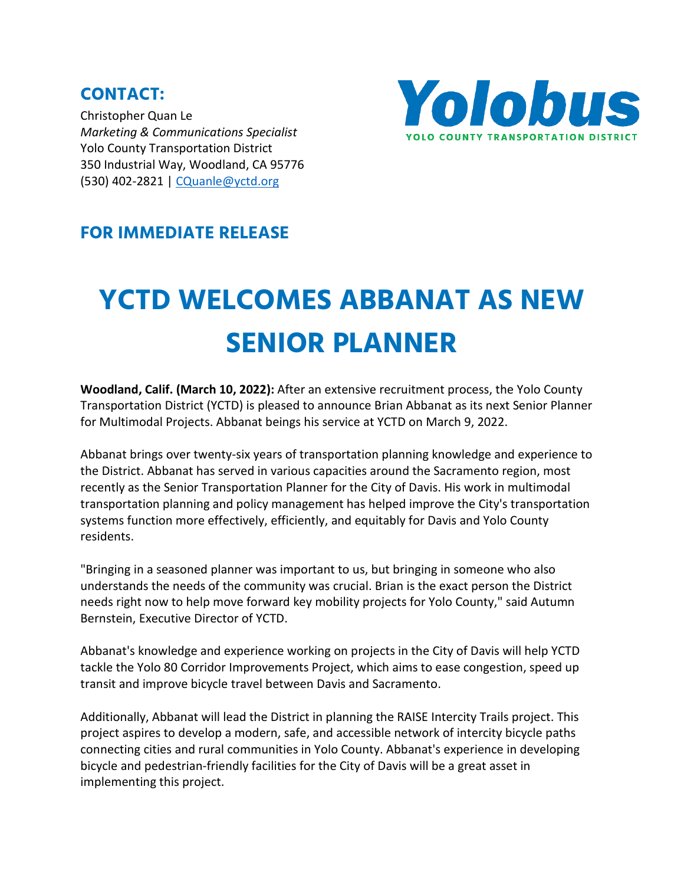**CONTACT:** Christopher Quan Le *Marketing & Communications Specialist*  Yolo County Transportation District 350 Industrial Way, Woodland, CA 95776 (530) 402-2821 | [CQuanle@yctd.org](mailto:CQuanle@yctd.org)



## **FOR IMMEDIATE RELEASE**

## **YCTD WELCOMES ABBANAT AS NEW SENIOR PLANNER**

**Woodland, Calif. (March 10, 2022):** After an extensive recruitment process, the Yolo County Transportation District (YCTD) is pleased to announce Brian Abbanat as its next Senior Planner for Multimodal Projects. Abbanat beings his service at YCTD on March 9, 2022.

Abbanat brings over twenty-six years of transportation planning knowledge and experience to the District. Abbanat has served in various capacities around the Sacramento region, most recently as the Senior Transportation Planner for the City of Davis. His work in multimodal transportation planning and policy management has helped improve the City's transportation systems function more effectively, efficiently, and equitably for Davis and Yolo County residents.

"Bringing in a seasoned planner was important to us, but bringing in someone who also understands the needs of the community was crucial. Brian is the exact person the District needs right now to help move forward key mobility projects for Yolo County," said Autumn Bernstein, Executive Director of YCTD.

Abbanat's knowledge and experience working on projects in the City of Davis will help YCTD tackle the Yolo 80 Corridor Improvements Project, which aims to ease congestion, speed up transit and improve bicycle travel between Davis and Sacramento.

Additionally, Abbanat will lead the District in planning the RAISE Intercity Trails project. This project aspires to develop a modern, safe, and accessible network of intercity bicycle paths connecting cities and rural communities in Yolo County. Abbanat's experience in developing bicycle and pedestrian-friendly facilities for the City of Davis will be a great asset in implementing this project.